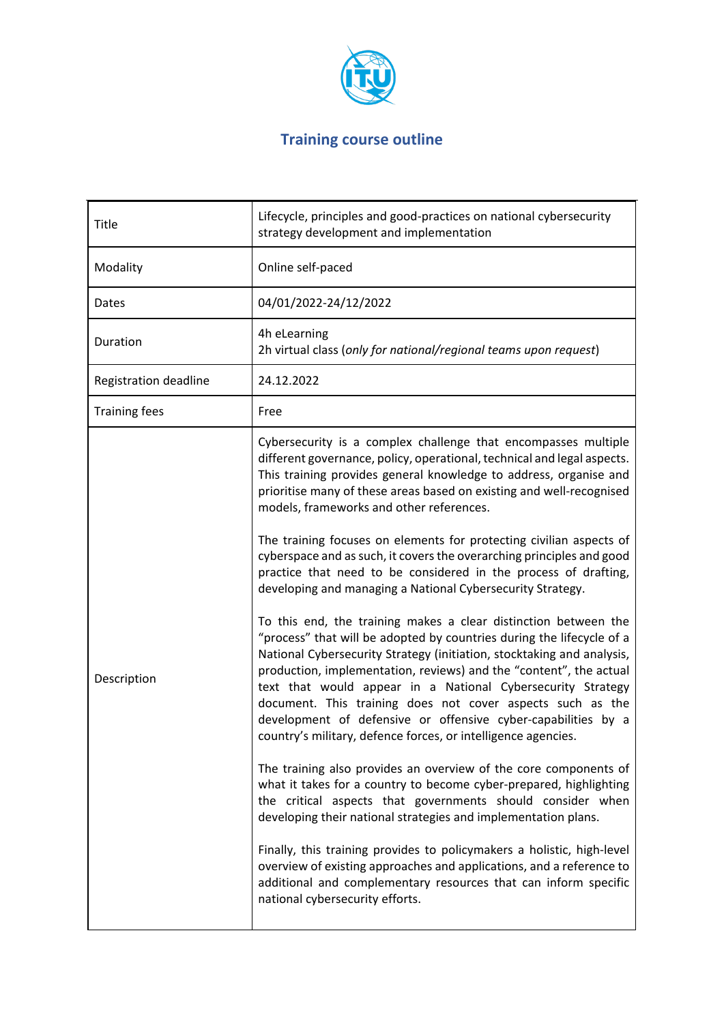

# **Training course outline**

| <b>Title</b>          | Lifecycle, principles and good-practices on national cybersecurity<br>strategy development and implementation                                                                                                                                                                                                                                                                                                                                                                                                                                                                                                                                                                                                                                                                                                                                                                                                                                                                                                                                                                                                                                                                                                                                                                                                                                                                                                                                                                                                                                                                                                                                                                                                    |  |  |
|-----------------------|------------------------------------------------------------------------------------------------------------------------------------------------------------------------------------------------------------------------------------------------------------------------------------------------------------------------------------------------------------------------------------------------------------------------------------------------------------------------------------------------------------------------------------------------------------------------------------------------------------------------------------------------------------------------------------------------------------------------------------------------------------------------------------------------------------------------------------------------------------------------------------------------------------------------------------------------------------------------------------------------------------------------------------------------------------------------------------------------------------------------------------------------------------------------------------------------------------------------------------------------------------------------------------------------------------------------------------------------------------------------------------------------------------------------------------------------------------------------------------------------------------------------------------------------------------------------------------------------------------------------------------------------------------------------------------------------------------------|--|--|
| Modality              | Online self-paced                                                                                                                                                                                                                                                                                                                                                                                                                                                                                                                                                                                                                                                                                                                                                                                                                                                                                                                                                                                                                                                                                                                                                                                                                                                                                                                                                                                                                                                                                                                                                                                                                                                                                                |  |  |
| Dates                 | 04/01/2022-24/12/2022                                                                                                                                                                                                                                                                                                                                                                                                                                                                                                                                                                                                                                                                                                                                                                                                                                                                                                                                                                                                                                                                                                                                                                                                                                                                                                                                                                                                                                                                                                                                                                                                                                                                                            |  |  |
| Duration              | 4h eLearning<br>2h virtual class (only for national/regional teams upon request)                                                                                                                                                                                                                                                                                                                                                                                                                                                                                                                                                                                                                                                                                                                                                                                                                                                                                                                                                                                                                                                                                                                                                                                                                                                                                                                                                                                                                                                                                                                                                                                                                                 |  |  |
| Registration deadline | 24.12.2022                                                                                                                                                                                                                                                                                                                                                                                                                                                                                                                                                                                                                                                                                                                                                                                                                                                                                                                                                                                                                                                                                                                                                                                                                                                                                                                                                                                                                                                                                                                                                                                                                                                                                                       |  |  |
| <b>Training fees</b>  | Free                                                                                                                                                                                                                                                                                                                                                                                                                                                                                                                                                                                                                                                                                                                                                                                                                                                                                                                                                                                                                                                                                                                                                                                                                                                                                                                                                                                                                                                                                                                                                                                                                                                                                                             |  |  |
| Description           | Cybersecurity is a complex challenge that encompasses multiple<br>different governance, policy, operational, technical and legal aspects.<br>This training provides general knowledge to address, organise and<br>prioritise many of these areas based on existing and well-recognised<br>models, frameworks and other references.<br>The training focuses on elements for protecting civilian aspects of<br>cyberspace and as such, it covers the overarching principles and good<br>practice that need to be considered in the process of drafting,<br>developing and managing a National Cybersecurity Strategy.<br>To this end, the training makes a clear distinction between the<br>"process" that will be adopted by countries during the lifecycle of a<br>National Cybersecurity Strategy (initiation, stocktaking and analysis,<br>production, implementation, reviews) and the "content", the actual<br>text that would appear in a National Cybersecurity Strategy<br>document. This training does not cover aspects such as the<br>development of defensive or offensive cyber-capabilities by a<br>country's military, defence forces, or intelligence agencies.<br>The training also provides an overview of the core components of<br>what it takes for a country to become cyber-prepared, highlighting<br>the critical aspects that governments should consider when<br>developing their national strategies and implementation plans.<br>Finally, this training provides to policymakers a holistic, high-level<br>overview of existing approaches and applications, and a reference to<br>additional and complementary resources that can inform specific<br>national cybersecurity efforts. |  |  |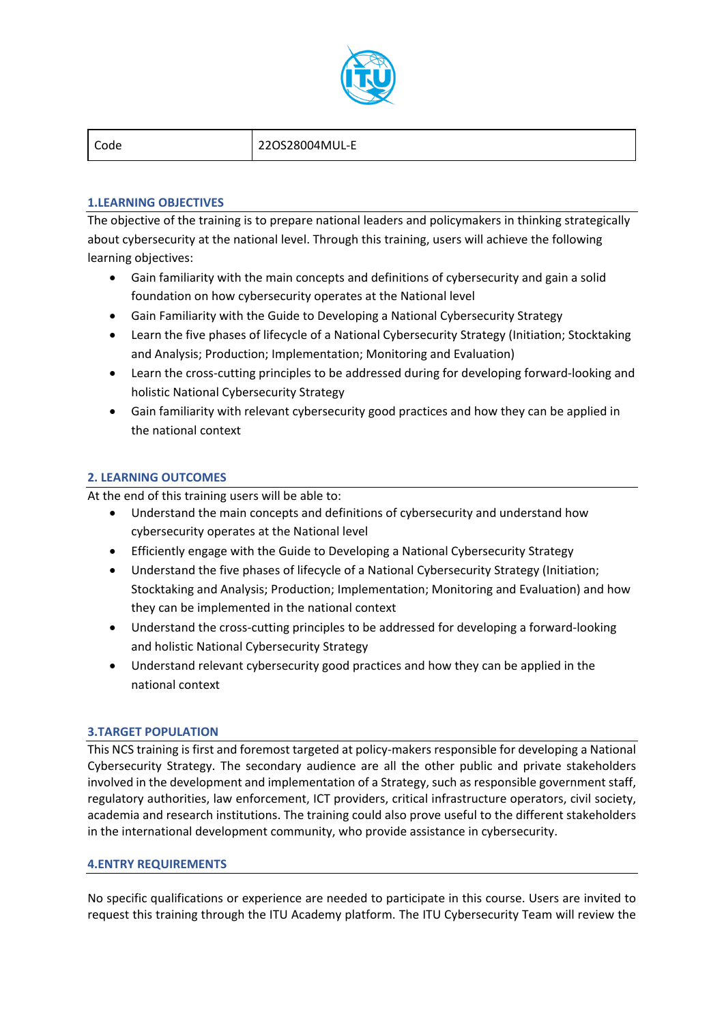

Code 22OS28004MUL-E

# **1.LEARNING OBJECTIVES**

The objective of the training is to prepare national leaders and policymakers in thinking strategically about cybersecurity at the national level. Through this training, users will achieve the following learning objectives:

- Gain familiarity with the main concepts and definitions of cybersecurity and gain a solid foundation on how cybersecurity operates at the National level
- Gain Familiarity with the Guide to Developing a National Cybersecurity Strategy
- Learn the five phases of lifecycle of a National Cybersecurity Strategy (Initiation; Stocktaking and Analysis; Production; Implementation; Monitoring and Evaluation)
- Learn the cross-cutting principles to be addressed during for developing forward-looking and holistic National Cybersecurity Strategy
- Gain familiarity with relevant cybersecurity good practices and how they can be applied in the national context

# **2. LEARNING OUTCOMES**

At the end of this training users will be able to:

- Understand the main concepts and definitions of cybersecurity and understand how cybersecurity operates at the National level
- Efficiently engage with the Guide to Developing a National Cybersecurity Strategy
- Understand the five phases of lifecycle of a National Cybersecurity Strategy (Initiation; Stocktaking and Analysis; Production; Implementation; Monitoring and Evaluation) and how they can be implemented in the national context
- Understand the cross-cutting principles to be addressed for developing a forward-looking and holistic National Cybersecurity Strategy
- Understand relevant cybersecurity good practices and how they can be applied in the national context

# **3.TARGET POPULATION**

This NCS training is first and foremost targeted at policy-makers responsible for developing a National Cybersecurity Strategy. The secondary audience are all the other public and private stakeholders involved in the development and implementation of a Strategy, such as responsible government staff, regulatory authorities, law enforcement, ICT providers, critical infrastructure operators, civil society, academia and research institutions. The training could also prove useful to the different stakeholders in the international development community, who provide assistance in cybersecurity.

# **4.ENTRY REQUIREMENTS**

No specific qualifications or experience are needed to participate in this course. Users are invited to request this training through the ITU Academy platform. The ITU Cybersecurity Team will review the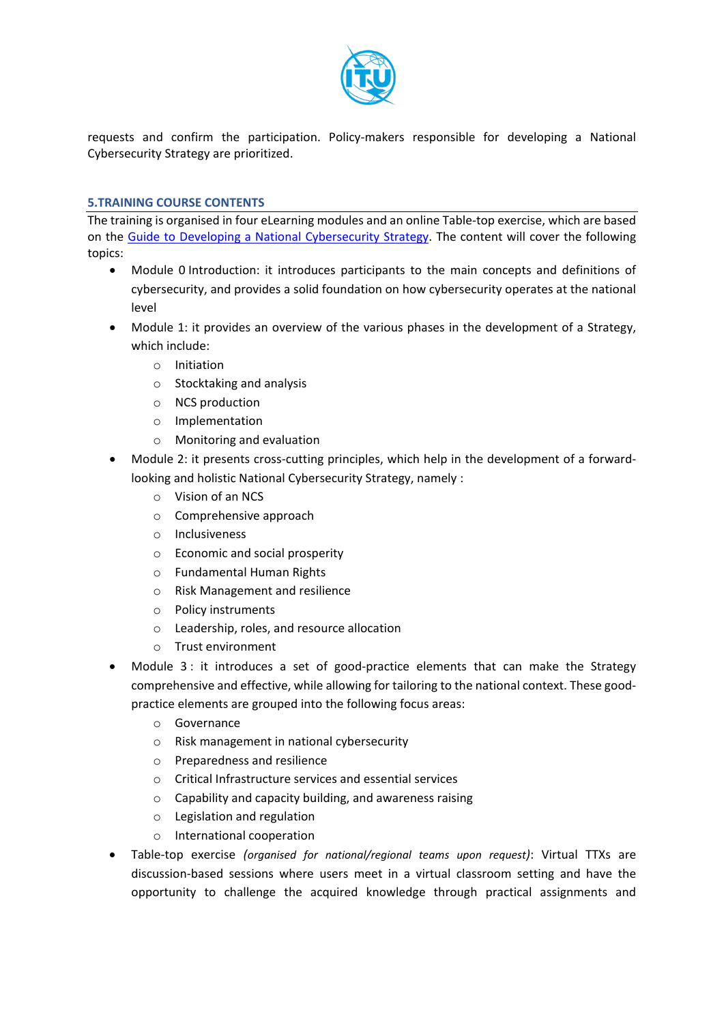

requests and confirm the participation. Policy-makers responsible for developing a National Cybersecurity Strategy are prioritized.

#### **5.TRAINING COURSE CONTENTS**

The training is organised in four eLearning modules and an online Table-top exercise, which are based on the [Guide to Developing a National Cybersecurity Strategy.](https://www.itu.int/pub/D-STR-CYB_GUIDE.01-2018) The content will cover the following topics:

- Module 0 Introduction: it introduces participants to the main concepts and definitions of cybersecurity, and provides a solid foundation on how cybersecurity operates at the national level
- Module 1: it provides an overview of the various phases in the development of a Strategy, which include:
	- o Initiation
	- o Stocktaking and analysis
	- o NCS production
	- o Implementation
	- o Monitoring and evaluation
- Module 2: it presents cross-cutting principles, which help in the development of a forwardlooking and holistic National Cybersecurity Strategy, namely :
	- o Vision of an NCS
	- o Comprehensive approach
	- o Inclusiveness
	- o Economic and social prosperity
	- o Fundamental Human Rights
	- o Risk Management and resilience
	- o Policy instruments
	- o Leadership, roles, and resource allocation
	- o Trust environment
- Module 3: it introduces a set of good-practice elements that can make the Strategy comprehensive and effective, while allowing for tailoring to the national context. These goodpractice elements are grouped into the following focus areas:
	- o Governance
	- o Risk management in national cybersecurity
	- o Preparedness and resilience
	- o Critical Infrastructure services and essential services
	- o Capability and capacity building, and awareness raising
	- o Legislation and regulation
	- o International cooperation
- Table-top exercise *(organised for national/regional teams upon request)*: Virtual TTXs are discussion-based sessions where users meet in a virtual classroom setting and have the opportunity to challenge the acquired knowledge through practical assignments and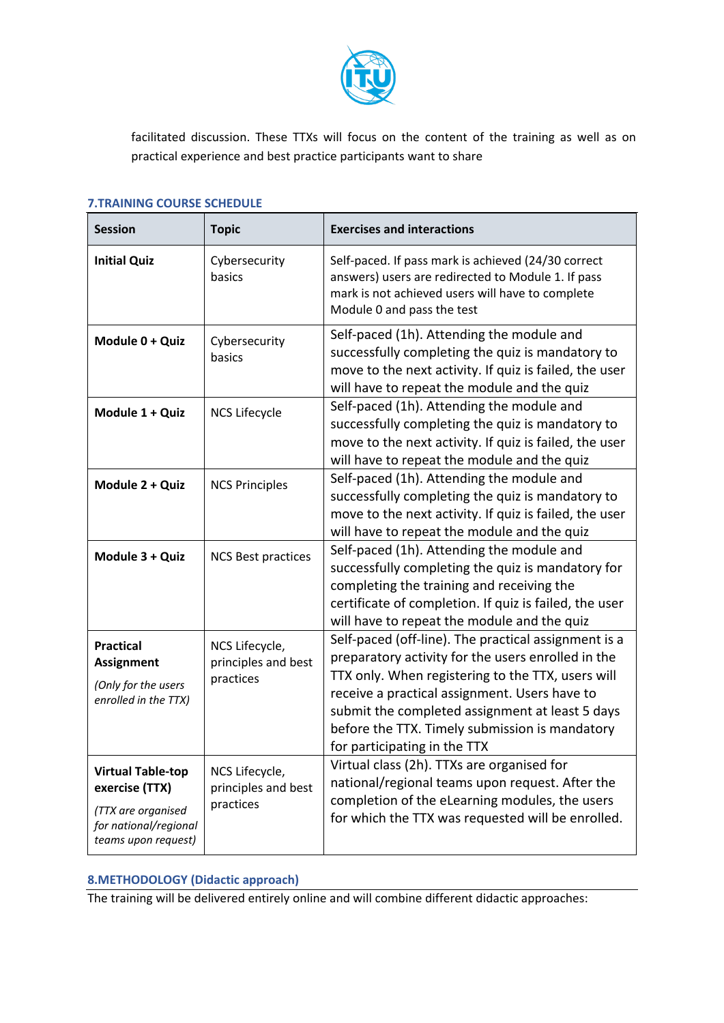

facilitated discussion. These TTXs will focus on the content of the training as well as on practical experience and best practice participants want to share

### **7.TRAINING COURSE SCHEDULE**

| <b>Session</b>                                                                                                   | <b>Topic</b>                                       | <b>Exercises and interactions</b>                                                                                                                                                                                                                                                                                                                     |
|------------------------------------------------------------------------------------------------------------------|----------------------------------------------------|-------------------------------------------------------------------------------------------------------------------------------------------------------------------------------------------------------------------------------------------------------------------------------------------------------------------------------------------------------|
| <b>Initial Quiz</b>                                                                                              | Cybersecurity<br>basics                            | Self-paced. If pass mark is achieved (24/30 correct<br>answers) users are redirected to Module 1. If pass<br>mark is not achieved users will have to complete<br>Module 0 and pass the test                                                                                                                                                           |
| Module 0 + Quiz                                                                                                  | Cybersecurity<br>basics                            | Self-paced (1h). Attending the module and<br>successfully completing the quiz is mandatory to<br>move to the next activity. If quiz is failed, the user<br>will have to repeat the module and the quiz                                                                                                                                                |
| Module 1 + Quiz                                                                                                  | <b>NCS Lifecycle</b>                               | Self-paced (1h). Attending the module and<br>successfully completing the quiz is mandatory to<br>move to the next activity. If quiz is failed, the user<br>will have to repeat the module and the quiz                                                                                                                                                |
| Module 2 + Quiz                                                                                                  | <b>NCS Principles</b>                              | Self-paced (1h). Attending the module and<br>successfully completing the quiz is mandatory to<br>move to the next activity. If quiz is failed, the user<br>will have to repeat the module and the quiz                                                                                                                                                |
| Module 3 + Quiz                                                                                                  | <b>NCS Best practices</b>                          | Self-paced (1h). Attending the module and<br>successfully completing the quiz is mandatory for<br>completing the training and receiving the<br>certificate of completion. If quiz is failed, the user<br>will have to repeat the module and the quiz                                                                                                  |
| <b>Practical</b><br><b>Assignment</b><br>(Only for the users<br>enrolled in the TTX)                             | NCS Lifecycle,<br>principles and best<br>practices | Self-paced (off-line). The practical assignment is a<br>preparatory activity for the users enrolled in the<br>TTX only. When registering to the TTX, users will<br>receive a practical assignment. Users have to<br>submit the completed assignment at least 5 days<br>before the TTX. Timely submission is mandatory<br>for participating in the TTX |
| <b>Virtual Table-top</b><br>exercise (TTX)<br>(TTX are organised<br>for national/regional<br>teams upon request) | NCS Lifecycle,<br>principles and best<br>practices | Virtual class (2h). TTXs are organised for<br>national/regional teams upon request. After the<br>completion of the eLearning modules, the users<br>for which the TTX was requested will be enrolled.                                                                                                                                                  |

# **8.METHODOLOGY (Didactic approach)**

The training will be delivered entirely online and will combine different didactic approaches: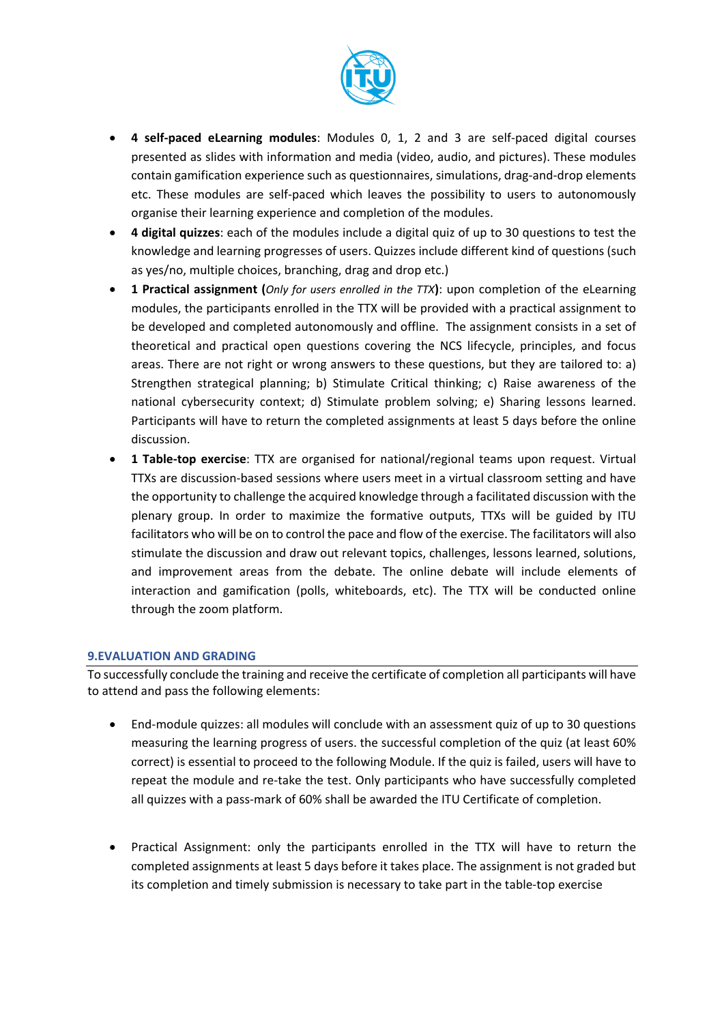

- **4 self-paced eLearning modules**: Modules 0, 1, 2 and 3 are self-paced digital courses presented as slides with information and media (video, audio, and pictures). These modules contain gamification experience such as questionnaires, simulations, drag-and-drop elements etc. These modules are self-paced which leaves the possibility to users to autonomously organise their learning experience and completion of the modules.
- **4 digital quizzes**: each of the modules include a digital quiz of up to 30 questions to test the knowledge and learning progresses of users. Quizzes include different kind of questions (such as yes/no, multiple choices, branching, drag and drop etc.)
- **1 Practical assignment (***Only for users enrolled in the TTX***)**: upon completion of the eLearning modules, the participants enrolled in the TTX will be provided with a practical assignment to be developed and completed autonomously and offline. The assignment consists in a set of theoretical and practical open questions covering the NCS lifecycle, principles, and focus areas. There are not right or wrong answers to these questions, but they are tailored to: a) Strengthen strategical planning; b) Stimulate Critical thinking; c) Raise awareness of the national cybersecurity context; d) Stimulate problem solving; e) Sharing lessons learned. Participants will have to return the completed assignments at least 5 days before the online discussion.
- **1 Table-top exercise**: TTX are organised for national/regional teams upon request. Virtual TTXs are discussion-based sessions where users meet in a virtual classroom setting and have the opportunity to challenge the acquired knowledge through a facilitated discussion with the plenary group. In order to maximize the formative outputs, TTXs will be guided by ITU facilitators who will be on to control the pace and flow of the exercise. The facilitators will also stimulate the discussion and draw out relevant topics, challenges, lessons learned, solutions, and improvement areas from the debate. The online debate will include elements of interaction and gamification (polls, whiteboards, etc). The TTX will be conducted online through the zoom platform.

#### **9.EVALUATION AND GRADING**

To successfully conclude the training and receive the certificate of completion all participants will have to attend and pass the following elements:

- End-module quizzes: all modules will conclude with an assessment quiz of up to 30 questions measuring the learning progress of users. the successful completion of the quiz (at least 60% correct) is essential to proceed to the following Module. If the quiz is failed, users will have to repeat the module and re-take the test. Only participants who have successfully completed all quizzes with a pass-mark of 60% shall be awarded the ITU Certificate of completion.
- Practical Assignment: only the participants enrolled in the TTX will have to return the completed assignments at least 5 days before it takes place. The assignment is not graded but its completion and timely submission is necessary to take part in the table-top exercise